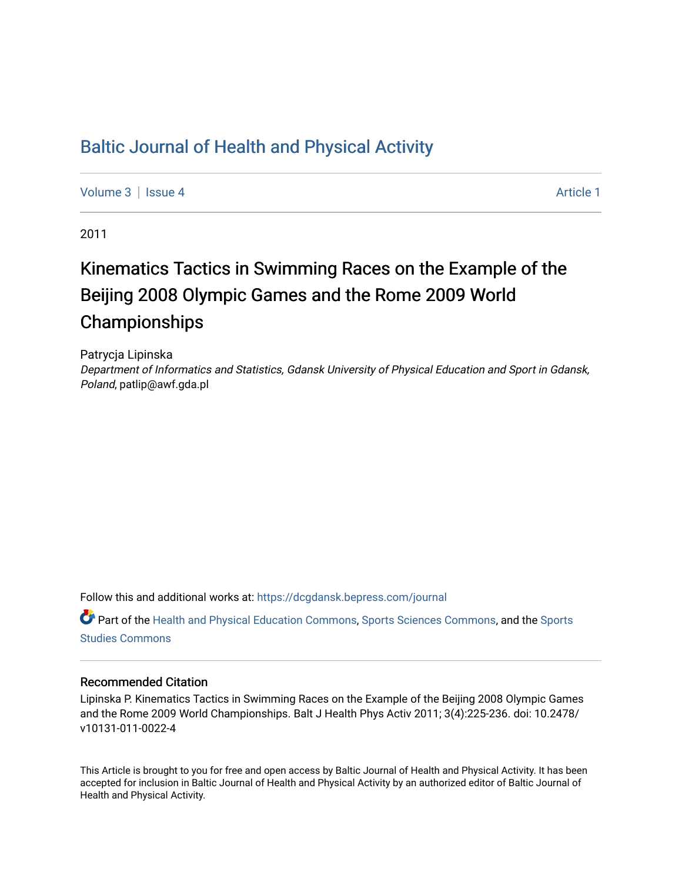# [Baltic Journal of Health and Physical Activity](https://dcgdansk.bepress.com/journal)

[Volume 3](https://dcgdansk.bepress.com/journal/vol3) | [Issue 4](https://dcgdansk.bepress.com/journal/vol3/iss4) Article 1

2011

# Kinematics Tactics in Swimming Races on the Example of the Beijing 2008 Olympic Games and the Rome 2009 World Championships

Patrycja Lipinska Department of Informatics and Statistics, Gdansk University of Physical Education and Sport in Gdansk, Poland, patlip@awf.gda.pl

Follow this and additional works at: [https://dcgdansk.bepress.com/journal](https://dcgdansk.bepress.com/journal?utm_source=dcgdansk.bepress.com%2Fjournal%2Fvol3%2Fiss4%2F1&utm_medium=PDF&utm_campaign=PDFCoverPages)

Part of the [Health and Physical Education Commons](http://network.bepress.com/hgg/discipline/1327?utm_source=dcgdansk.bepress.com%2Fjournal%2Fvol3%2Fiss4%2F1&utm_medium=PDF&utm_campaign=PDFCoverPages), [Sports Sciences Commons](http://network.bepress.com/hgg/discipline/759?utm_source=dcgdansk.bepress.com%2Fjournal%2Fvol3%2Fiss4%2F1&utm_medium=PDF&utm_campaign=PDFCoverPages), and the [Sports](http://network.bepress.com/hgg/discipline/1198?utm_source=dcgdansk.bepress.com%2Fjournal%2Fvol3%2Fiss4%2F1&utm_medium=PDF&utm_campaign=PDFCoverPages)  [Studies Commons](http://network.bepress.com/hgg/discipline/1198?utm_source=dcgdansk.bepress.com%2Fjournal%2Fvol3%2Fiss4%2F1&utm_medium=PDF&utm_campaign=PDFCoverPages) 

#### Recommended Citation

Lipinska P. Kinematics Tactics in Swimming Races on the Example of the Beijing 2008 Olympic Games and the Rome 2009 World Championships. Balt J Health Phys Activ 2011; 3(4):225-236. doi: 10.2478/ v10131-011-0022-4

This Article is brought to you for free and open access by Baltic Journal of Health and Physical Activity. It has been accepted for inclusion in Baltic Journal of Health and Physical Activity by an authorized editor of Baltic Journal of Health and Physical Activity.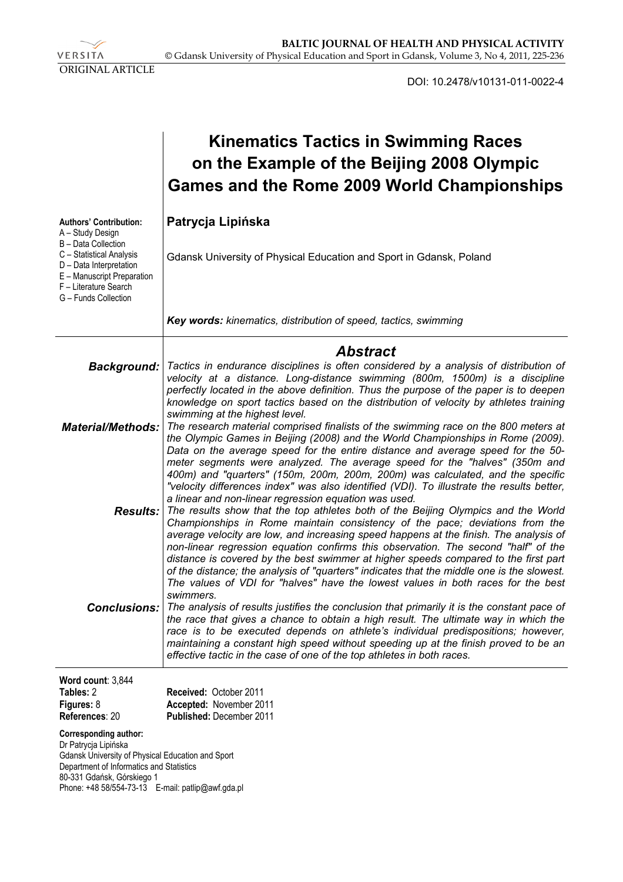

DOI: 10.2478/v10131-011-0022-4

|                                                                                                                                                                                                                                          | <b>Kinematics Tactics in Swimming Races</b><br>on the Example of the Beijing 2008 Olympic<br>Games and the Rome 2009 World Championships                                                                                                                                                                                                                                                                                                                                                                                                                                                                                                                                                                                                                                                                          |  |  |  |  |
|------------------------------------------------------------------------------------------------------------------------------------------------------------------------------------------------------------------------------------------|-------------------------------------------------------------------------------------------------------------------------------------------------------------------------------------------------------------------------------------------------------------------------------------------------------------------------------------------------------------------------------------------------------------------------------------------------------------------------------------------------------------------------------------------------------------------------------------------------------------------------------------------------------------------------------------------------------------------------------------------------------------------------------------------------------------------|--|--|--|--|
| <b>Authors' Contribution:</b><br>A - Study Design<br>B - Data Collection                                                                                                                                                                 | Patrycja Lipińska                                                                                                                                                                                                                                                                                                                                                                                                                                                                                                                                                                                                                                                                                                                                                                                                 |  |  |  |  |
| C - Statistical Analysis<br>D - Data Interpretation<br>E - Manuscript Preparation<br>F - Literature Search<br>G - Funds Collection                                                                                                       | Gdansk University of Physical Education and Sport in Gdansk, Poland                                                                                                                                                                                                                                                                                                                                                                                                                                                                                                                                                                                                                                                                                                                                               |  |  |  |  |
|                                                                                                                                                                                                                                          | Key words: kinematics, distribution of speed, tactics, swimming                                                                                                                                                                                                                                                                                                                                                                                                                                                                                                                                                                                                                                                                                                                                                   |  |  |  |  |
|                                                                                                                                                                                                                                          | <b>Abstract</b>                                                                                                                                                                                                                                                                                                                                                                                                                                                                                                                                                                                                                                                                                                                                                                                                   |  |  |  |  |
|                                                                                                                                                                                                                                          | Background:   Tactics in endurance disciplines is often considered by a analysis of distribution of<br>velocity at a distance. Long-distance swimming (800m, 1500m) is a discipline<br>perfectly located in the above definition. Thus the purpose of the paper is to deepen<br>knowledge on sport tactics based on the distribution of velocity by athletes training                                                                                                                                                                                                                                                                                                                                                                                                                                             |  |  |  |  |
| <b>Material/Methods:</b>                                                                                                                                                                                                                 | swimming at the highest level.<br>The research material comprised finalists of the swimming race on the 800 meters at<br>the Olympic Games in Beijing (2008) and the World Championships in Rome (2009).<br>Data on the average speed for the entire distance and average speed for the 50-<br>meter segments were analyzed. The average speed for the "halves" (350m and                                                                                                                                                                                                                                                                                                                                                                                                                                         |  |  |  |  |
|                                                                                                                                                                                                                                          | 400m) and "quarters" (150m, 200m, 200m, 200m) was calculated, and the specific<br>"velocity differences index" was also identified (VDI). To illustrate the results better,<br>a linear and non-linear regression equation was used.<br><b>Results:</b> The results show that the top athletes both of the Beijing Olympics and the World<br>Championships in Rome maintain consistency of the pace; deviations from the<br>average velocity are low, and increasing speed happens at the finish. The analysis of                                                                                                                                                                                                                                                                                                 |  |  |  |  |
| <b>Conclusions:</b>                                                                                                                                                                                                                      | non-linear regression equation confirms this observation. The second "half" of the<br>distance is covered by the best swimmer at higher speeds compared to the first part<br>of the distance; the analysis of "quarters" indicates that the middle one is the slowest.<br>The values of VDI for "halves" have the lowest values in both races for the best<br>swimmers.<br>The analysis of results justifies the conclusion that primarily it is the constant pace of<br>the race that gives a chance to obtain a high result. The ultimate way in which the<br>race is to be executed depends on athlete's individual predispositions; however,<br>maintaining a constant high speed without speeding up at the finish proved to be an<br>effective tactic in the case of one of the top athletes in both races. |  |  |  |  |
| Word count: 3,844                                                                                                                                                                                                                        |                                                                                                                                                                                                                                                                                                                                                                                                                                                                                                                                                                                                                                                                                                                                                                                                                   |  |  |  |  |
| Tables: 2<br>Figures: 8<br>References: 20                                                                                                                                                                                                | Received: October 2011<br>Accepted: November 2011<br><b>Published: December 2011</b>                                                                                                                                                                                                                                                                                                                                                                                                                                                                                                                                                                                                                                                                                                                              |  |  |  |  |
| <b>Corresponding author:</b><br>Dr Patrycja Lipińska<br>Gdansk University of Physical Education and Sport<br>Department of Informatics and Statistics<br>80-331 Gdańsk, Górskiego 1<br>Phone: +48 58/554-73-13 E-mail: patlip@awf.gda.pl |                                                                                                                                                                                                                                                                                                                                                                                                                                                                                                                                                                                                                                                                                                                                                                                                                   |  |  |  |  |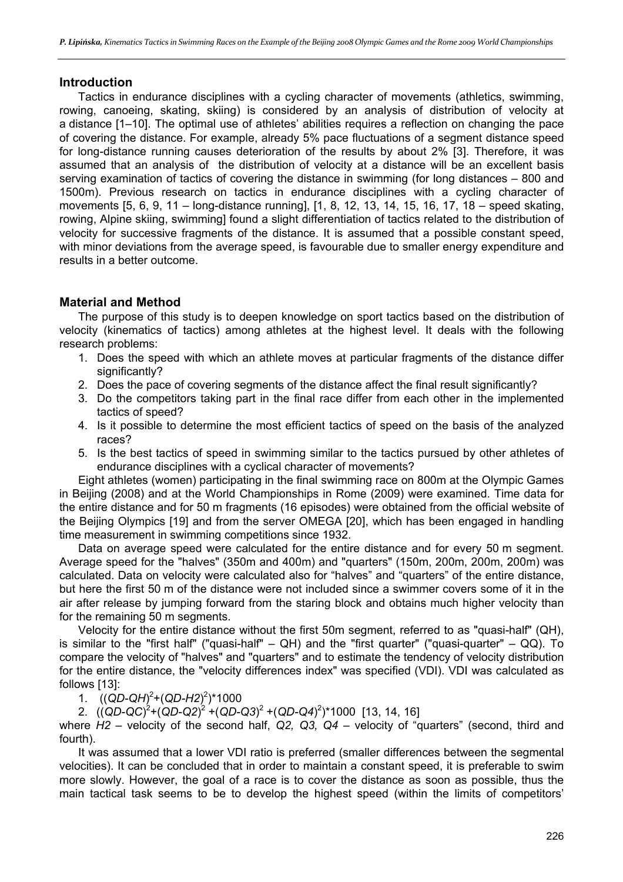#### **Introduction**

Tactics in endurance disciplines with a cycling character of movements (athletics, swimming, rowing, canoeing, skating, skiing) is considered by an analysis of distribution of velocity at a distance [1–10]. The optimal use of athletes' abilities requires a reflection on changing the pace of covering the distance. For example, already 5% pace fluctuations of a segment distance speed for long-distance running causes deterioration of the results by about 2% [3]. Therefore, it was assumed that an analysis of the distribution of velocity at a distance will be an excellent basis serving examination of tactics of covering the distance in swimming (for long distances – 800 and 1500m). Previous research on tactics in endurance disciplines with a cycling character of movements [5, 6, 9, 11 – long-distance running], [1, 8, 12, 13, 14, 15, 16, 17, 18 – speed skating, rowing, Alpine skiing, swimming] found a slight differentiation of tactics related to the distribution of velocity for successive fragments of the distance. It is assumed that a possible constant speed, with minor deviations from the average speed, is favourable due to smaller energy expenditure and results in a better outcome.

# **Material and Method**

The purpose of this study is to deepen knowledge on sport tactics based on the distribution of velocity (kinematics of tactics) among athletes at the highest level. It deals with the following research problems:

- 1. Does the speed with which an athlete moves at particular fragments of the distance differ significantly?
- 2. Does the pace of covering segments of the distance affect the final result significantly?
- 3. Do the competitors taking part in the final race differ from each other in the implemented tactics of speed?
- 4. Is it possible to determine the most efficient tactics of speed on the basis of the analyzed races?
- 5. Is the best tactics of speed in swimming similar to the tactics pursued by other athletes of endurance disciplines with a cyclical character of movements?

Eight athletes (women) participating in the final swimming race on 800m at the Olympic Games in Beijing (2008) and at the World Championships in Rome (2009) were examined. Time data for the entire distance and for 50 m fragments (16 episodes) were obtained from the official website of the Beijing Olympics [19] and from the server OMEGA [20], which has been engaged in handling time measurement in swimming competitions since 1932.

Data on average speed were calculated for the entire distance and for every 50 m segment. Average speed for the "halves" (350m and 400m) and "quarters" (150m, 200m, 200m, 200m) was calculated. Data on velocity were calculated also for "halves" and "quarters" of the entire distance, but here the first 50 m of the distance were not included since a swimmer covers some of it in the air after release by jumping forward from the staring block and obtains much higher velocity than for the remaining 50 m segments.

Velocity for the entire distance without the first 50m segment, referred to as "quasi-half" (QH), is similar to the "first half" ("quasi-half" –  $QH$ ) and the "first quarter" ("quasi-quarter" –  $QQ$ ). To compare the velocity of "halves" and "quarters" and to estimate the tendency of velocity distribution for the entire distance, the "velocity differences index" was specified (VDI). VDI was calculated as follows [13]:

1.  $((QD-QH)^2+(QD-H2)^2)^*1000$ 

2. ((*QD-QC*)<sup>2</sup>+(*QD-Q2*)<sup>2</sup> +(*QD-Q3*)<sup>2</sup> +(*QD-Q4*)<sup>2</sup>)\*1000 [13, 14, 16]

where *H2* – velocity of the second half, *Q2, Q3, Q4* – velocity of "quarters" (second, third and fourth).

It was assumed that a lower VDI ratio is preferred (smaller differences between the segmental velocities). It can be concluded that in order to maintain a constant speed, it is preferable to swim more slowly. However, the goal of a race is to cover the distance as soon as possible, thus the main tactical task seems to be to develop the highest speed (within the limits of competitors'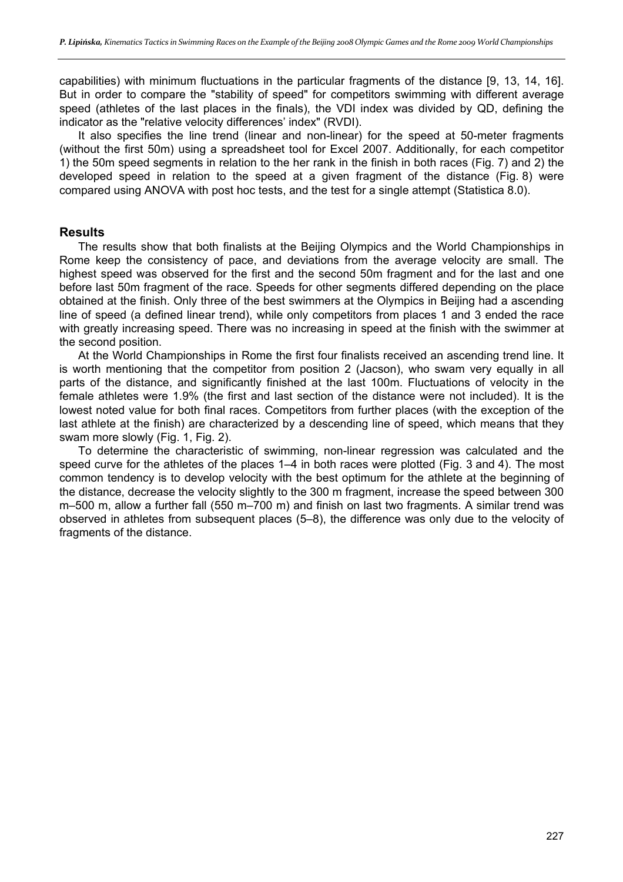capabilities) with minimum fluctuations in the particular fragments of the distance [9, 13, 14, 16]. But in order to compare the "stability of speed" for competitors swimming with different average speed (athletes of the last places in the finals), the VDI index was divided by QD, defining the indicator as the "relative velocity differences' index" (RVDI).

It also specifies the line trend (linear and non-linear) for the speed at 50-meter fragments (without the first 50m) using a spreadsheet tool for Excel 2007. Additionally, for each competitor 1) the 50m speed segments in relation to the her rank in the finish in both races (Fig. 7) and 2) the developed speed in relation to the speed at a given fragment of the distance (Fig. 8) were compared using ANOVA with post hoc tests, and the test for a single attempt (Statistica 8.0).

### **Results**

The results show that both finalists at the Beijing Olympics and the World Championships in Rome keep the consistency of pace, and deviations from the average velocity are small. The highest speed was observed for the first and the second 50m fragment and for the last and one before last 50m fragment of the race. Speeds for other segments differed depending on the place obtained at the finish. Only three of the best swimmers at the Olympics in Beijing had a ascending line of speed (a defined linear trend), while only competitors from places 1 and 3 ended the race with greatly increasing speed. There was no increasing in speed at the finish with the swimmer at the second position.

At the World Championships in Rome the first four finalists received an ascending trend line. It is worth mentioning that the competitor from position 2 (Jacson), who swam very equally in all parts of the distance, and significantly finished at the last 100m. Fluctuations of velocity in the female athletes were 1.9% (the first and last section of the distance were not included). It is the lowest noted value for both final races. Competitors from further places (with the exception of the last athlete at the finish) are characterized by a descending line of speed, which means that they swam more slowly (Fig. 1, Fig. 2).

To determine the characteristic of swimming, non-linear regression was calculated and the speed curve for the athletes of the places 1–4 in both races were plotted (Fig. 3 and 4). The most common tendency is to develop velocity with the best optimum for the athlete at the beginning of the distance, decrease the velocity slightly to the 300 m fragment, increase the speed between 300 m–500 m, allow a further fall (550 m–700 m) and finish on last two fragments. A similar trend was observed in athletes from subsequent places (5–8), the difference was only due to the velocity of fragments of the distance.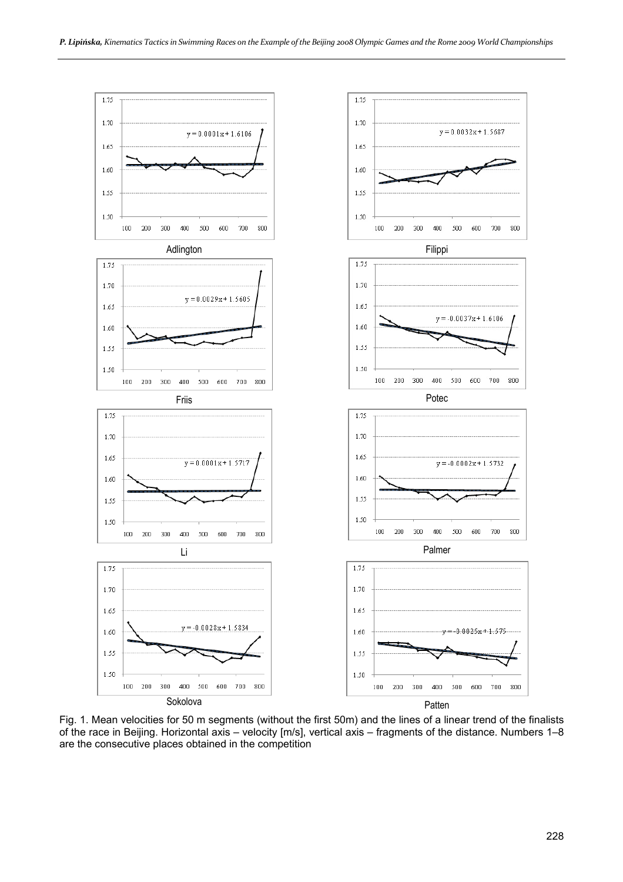

Fig. 1. Mean velocities for 50 m segments (without the first 50m) and the lines of a linear trend of the finalists of the race in Beijing. Horizontal axis – velocity [m/s], vertical axis – fragments of the distance. Numbers 1–8 are the consecutive places obtained in the competition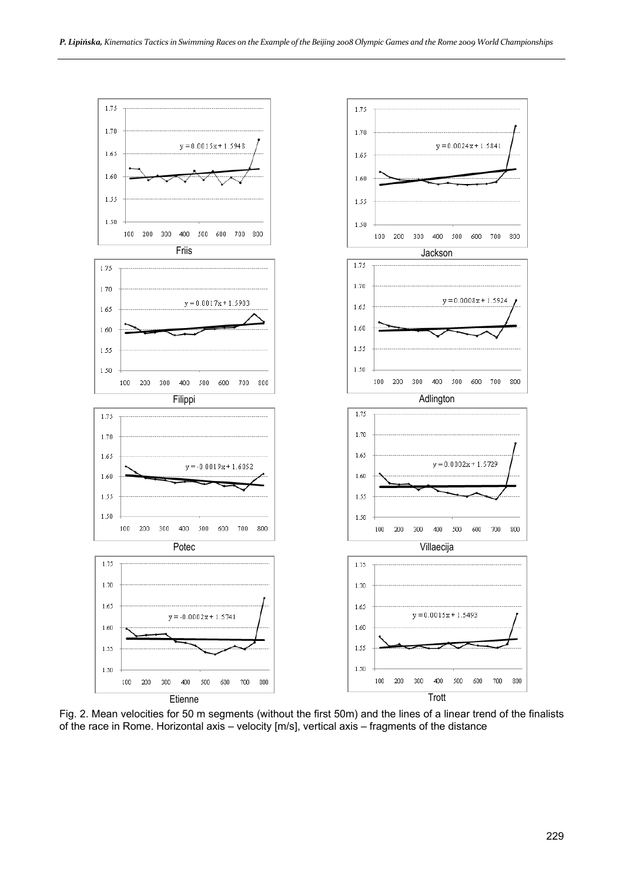

Fig. 2. Mean velocities for 50 m segments (without the first 50m) and the lines of a linear trend of the finalists of the race in Rome. Horizontal axis – velocity [m/s], vertical axis – fragments of the distance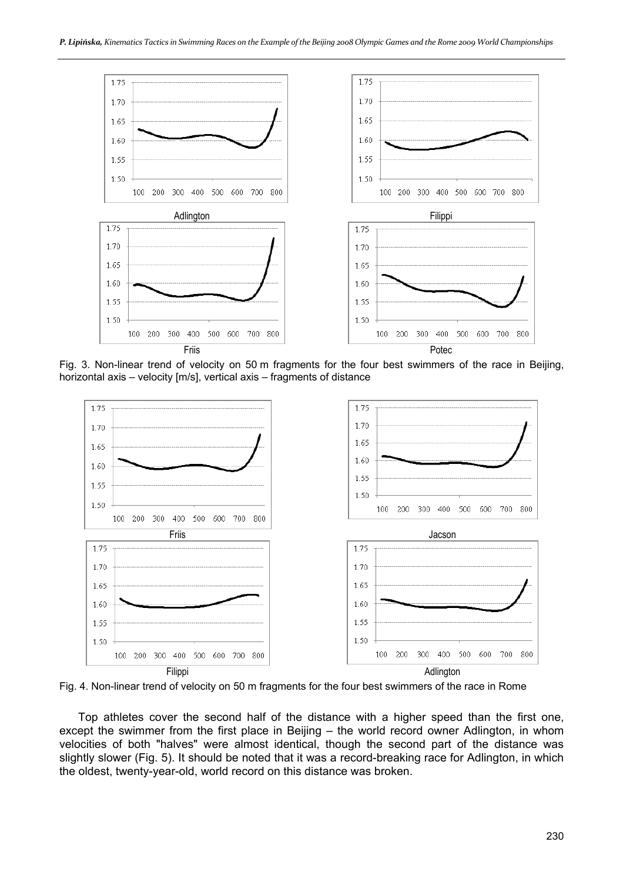

Fig. 3. Non-linear trend of velocity on 50 m fragments for the four best swimmers of the race in Beijing, horizontal axis – velocity [m/s], vertical axis – fragments of distance



Fig. 4. Non-linear trend of velocity on 50 m fragments for the four best swimmers of the race in Rome

Top athletes cover the second half of the distance with a higher speed than the first one, except the swimmer from the first place in Beijing – the world record owner Adlington, in whom velocities of both "halves" were almost identical, though the second part of the distance was slightly slower (Fig. 5). It should be noted that it was a record-breaking race for Adlington, in which the oldest, twenty-year-old, world record on this distance was broken.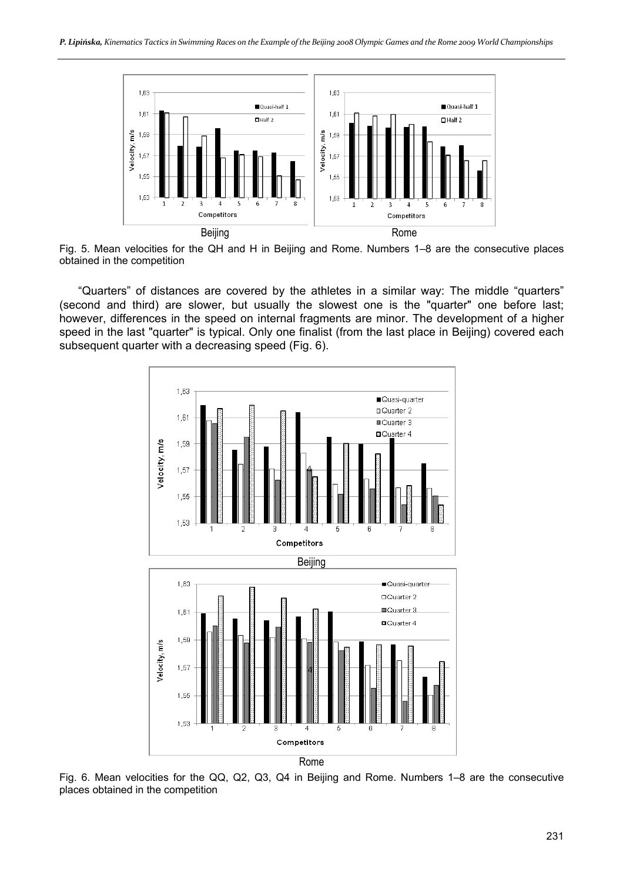

Fig. 5. Mean velocities for the QH and H in Beijing and Rome. Numbers 1–8 are the consecutive places obtained in the competition

"Quarters" of distances are covered by the athletes in a similar way: The middle "quarters" (second and third) are slower, but usually the slowest one is the "quarter" one before last; however, differences in the speed on internal fragments are minor. The development of a higher speed in the last "quarter" is typical. Only one finalist (from the last place in Beijing) covered each subsequent quarter with a decreasing speed (Fig. 6).



Fig. 6. Mean velocities for the QQ, Q2, Q3, Q4 in Beijing and Rome. Numbers 1–8 are the consecutive places obtained in the competition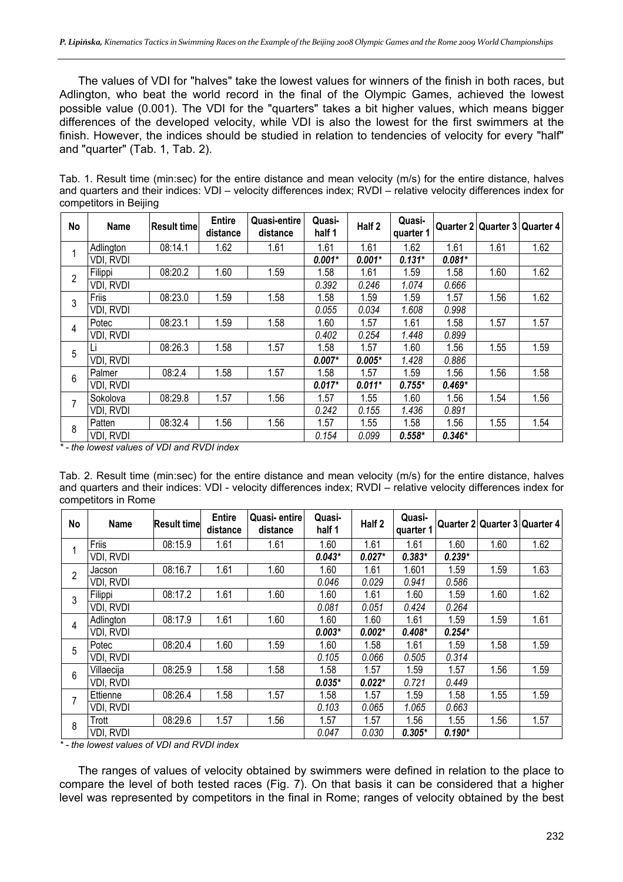The values of VDI for "halves" take the lowest values for winners of the finish in both races, but Adlington, who beat the world record in the final of the Olympic Games, achieved the lowest possible value (0.001). The VDI for the "quarters" takes a bit higher values, which means bigger differences of the developed velocity, while VDI is also the lowest for the first swimmers at the finish. However, the indices should be studied in relation to tendencies of velocity for every "half" and "quarter" (Tab. 1, Tab. 2).

Tab. 1. Result time (min:sec) for the entire distance and mean velocity (m/s) for the entire distance, halves and quarters and their indices: VDI – velocity differences index; RVDI – relative velocity differences index for competitors in Beijing

| No             | <b>Name</b> | Result timel | <b>Entire</b><br>distance | Quasi-entire<br>distance | Quasi-<br>half 1 | Half <sub>2</sub> | Quasi-<br>quarter 1 |          | Quarter 2 Quarter 3 Quarter 4 |      |
|----------------|-------------|--------------|---------------------------|--------------------------|------------------|-------------------|---------------------|----------|-------------------------------|------|
| 1              | Adlington   | 08:14.1      | 1.62                      | 1.61                     | 1.61             | 1.61              | 1.62                | 1.61     | 1.61                          | 1.62 |
|                | VDI, RVDI   |              |                           |                          | $0.001*$         | $0.001*$          | $0.131*$            | $0.081*$ |                               |      |
| $\overline{2}$ | Filippi     | 08:20.2      | 1.60                      | 1.59                     | 1.58             | 1.61              | 1.59                | 1.58     | 1.60                          | 1.62 |
|                | VDI, RVDI   |              |                           |                          | 0.392            | 0.246             | 1.074               | 0.666    |                               |      |
| 3              | Friis       | 08:23.0      | 1.59                      | 1.58                     | 1.58             | 1.59              | 1.59                | 1.57     | 1.56                          | 1.62 |
|                | VDI, RVDI   |              |                           |                          | 0.055            | 0.034             | 1.608               | 0.998    |                               |      |
| 4              | Potec       | 08:23.1      | 1.59                      | 1.58                     | 1.60             | 1.57              | 1.61                | 1.58     | 1.57                          | 1.57 |
|                | VDI, RVDI   |              |                           |                          | 0.402            | 0.254             | 1.448               | 0.899    |                               |      |
| 5              |             | 08:26.3      | 1.58                      | 1.57                     | 1.58             | 1.57              | 1.60                | 1.56     | 1.55                          | 1.59 |
|                | VDI, RVDI   |              |                           |                          | $0.007*$         | $0.005*$          | 1.428               | 0.886    |                               |      |
| 6              | Palmer      | 08:2.4       | 1.58                      | 1.57                     | 1.58             | 1.57              | 1.59                | 1.56     | 1.56                          | 1.58 |
|                | VDI, RVDI   |              |                           |                          | $0.017*$         | $0.011*$          | $0.755*$            | $0.469*$ |                               |      |
| $\overline{7}$ | Sokolova    | 08:29.8      | 1.57                      | 1.56                     | 1.57             | 1.55              | 1.60                | 1.56     | 1.54                          | 1.56 |
|                | VDI, RVDI   |              |                           |                          | 0.242            | 0.155             | 1.436               | 0.891    |                               |      |
| 8              | Patten      | 08:32.4      | 1.56                      | 1.56                     | 1.57             | 1.55              | 1.58                | 1.56     | 1.55                          | 1.54 |
|                | VDI, RVDI   |              |                           |                          | 0.154            | 0.099             | $0.558*$            | $0.346*$ |                               |      |

*\* - the lowest values of VDI and RVDI index* 

Tab. 2. Result time (min:sec) for the entire distance and mean velocity (m/s) for the entire distance, halves and quarters and their indices: VDI - velocity differences index; RVDI – relative velocity differences index for competitors in Rome

| No             | Name       | <b>Result timel</b> | <b>Entire</b><br>distance | Quasi- entire<br>distance | Quasi-<br>half 1 | Half 2   | Quasi-<br>quarter 1 |          |      | Quarter 2 Quarter 3 Quarter 4 |
|----------------|------------|---------------------|---------------------------|---------------------------|------------------|----------|---------------------|----------|------|-------------------------------|
|                | Friis      | 08:15.9             | 1.61                      | 1.61                      | 1.60             | 1.61     | 1.61                | 1.60     | 1.60 | 1.62                          |
|                | VDI, RVDI  |                     |                           |                           | $0.043*$         | $0.027*$ | $0.383*$            | $0.239*$ |      |                               |
| $\overline{2}$ | Jacson     | 08:16.7             | 1.61                      | 1.60                      | 1.60             | 1.61     | 1.601               | 1.59     | 1.59 | 1.63                          |
|                | VDI, RVDI  |                     |                           |                           | 0.046            | 0.029    | 0.941               | 0.586    |      |                               |
| 3              | Filippi    | 08:17.2             | 1.61                      | 1.60                      | 1.60             | 1.61     | 1.60                | 1.59     | 1.60 | 1.62                          |
|                | VDI, RVDI  |                     |                           |                           | 0.081            | 0.051    | 0.424               | 0.264    |      |                               |
| 4              | Adlington  | 08:17.9             | 1.61                      | 1.60                      | 1.60             | 1.60     | 1.61                | 1.59     | 1.59 | 1.61                          |
|                | VDI, RVDI  |                     |                           |                           | $0.003*$         | $0.002*$ | $0.408*$            | $0.254*$ |      |                               |
| 5              | Potec      | 08:20.4             | 1.60                      | 1.59                      | 1.60             | 1.58     | 1.61                | 1.59     | 1.58 | 1.59                          |
|                | VDI, RVDI  |                     |                           |                           | 0.105            | 0.066    | 0.505               | 0.314    |      |                               |
| 6              | Villaecija | 08:25.9             | 1.58                      | 1.58                      | 1.58             | 1.57     | 1.59                | 1.57     | 1.56 | 1.59                          |
|                | VDI, RVDI  |                     |                           |                           | $0.035*$         | $0.022*$ | 0.721               | 0.449    |      |                               |
| 7              | Ettienne   | 08:26.4             | 1.58                      | 1.57                      | 1.58             | 1.57     | 1.59                | 1.58     | 1.55 | 1.59                          |
|                | VDI, RVDI  |                     |                           |                           | 0.103            | 0.065    | 1.065               | 0.663    |      |                               |
| 8              | Trott      | 08:29.6             | 1.57                      | 1.56                      | 1.57             | 1.57     | 1.56                | 1.55     | 1.56 | 1.57                          |
|                | VDI, RVDI  |                     |                           |                           | 0.047            | 0.030    | $0.305*$            | $0.190*$ |      |                               |

*\* - the lowest values of VDI and RVDI index* 

The ranges of values of velocity obtained by swimmers were defined in relation to the place to compare the level of both tested races (Fig. 7). On that basis it can be considered that a higher level was represented by competitors in the final in Rome; ranges of velocity obtained by the best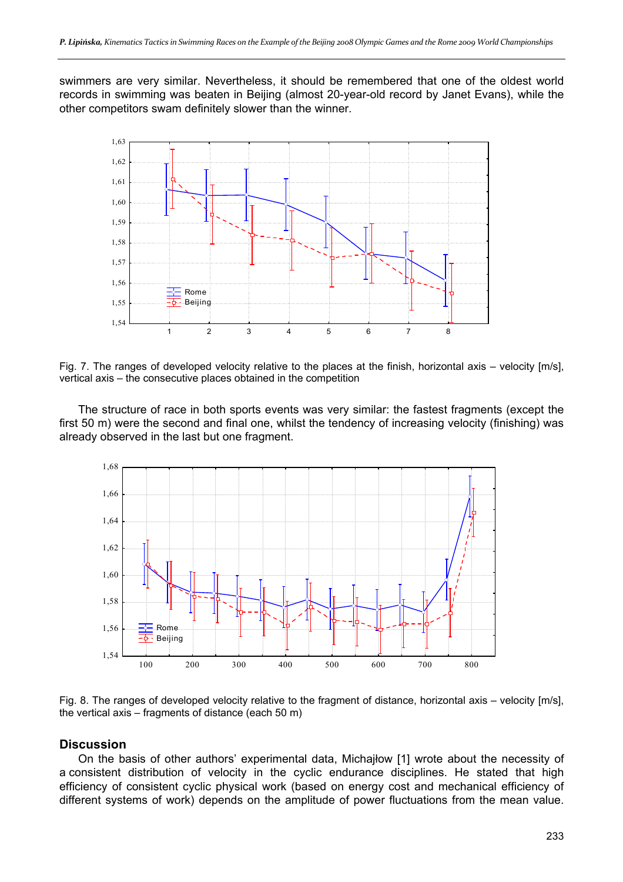swimmers are very similar. Nevertheless, it should be remembered that one of the oldest world records in swimming was beaten in Beijing (almost 20-year-old record by Janet Evans), while the other competitors swam definitely slower than the winner.



Fig. 7. The ranges of developed velocity relative to the places at the finish, horizontal axis – velocity [m/s], vertical axis – the consecutive places obtained in the competition

The structure of race in both sports events was very similar: the fastest fragments (except the first 50 m) were the second and final one, whilst the tendency of increasing velocity (finishing) was already observed in the last but one fragment.



Fig. 8. The ranges of developed velocity relative to the fragment of distance, horizontal axis – velocity [m/s], the vertical axis – fragments of distance (each 50 m)

## **Discussion**

On the basis of other authors' experimental data, Michajłow [1] wrote about the necessity of a consistent distribution of velocity in the cyclic endurance disciplines. He stated that high efficiency of consistent cyclic physical work (based on energy cost and mechanical efficiency of different systems of work) depends on the amplitude of power fluctuations from the mean value.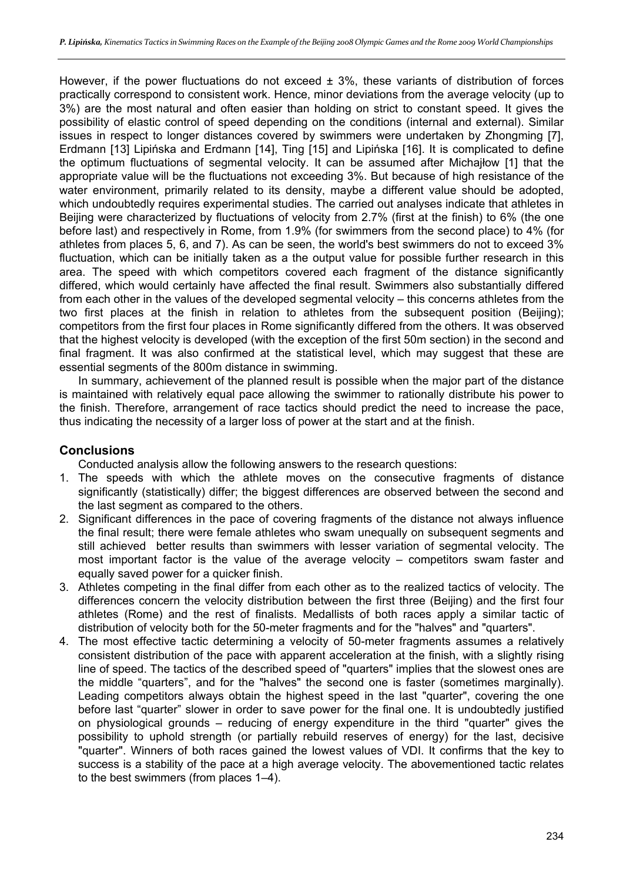However, if the power fluctuations do not exceed  $\pm$  3%, these variants of distribution of forces practically correspond to consistent work. Hence, minor deviations from the average velocity (up to 3%) are the most natural and often easier than holding on strict to constant speed. It gives the possibility of elastic control of speed depending on the conditions (internal and external). Similar issues in respect to longer distances covered by swimmers were undertaken by Zhongming [7], Erdmann [13] Lipińska and Erdmann [14], Ting [15] and Lipińska [16]. It is complicated to define the optimum fluctuations of segmental velocity. It can be assumed after Michajłow [1] that the appropriate value will be the fluctuations not exceeding 3%. But because of high resistance of the water environment, primarily related to its density, maybe a different value should be adopted, which undoubtedly requires experimental studies. The carried out analyses indicate that athletes in Beijing were characterized by fluctuations of velocity from 2.7% (first at the finish) to 6% (the one before last) and respectively in Rome, from 1.9% (for swimmers from the second place) to 4% (for athletes from places 5, 6, and 7). As can be seen, the world's best swimmers do not to exceed 3% fluctuation, which can be initially taken as a the output value for possible further research in this area. The speed with which competitors covered each fragment of the distance significantly differed, which would certainly have affected the final result. Swimmers also substantially differed from each other in the values of the developed segmental velocity – this concerns athletes from the two first places at the finish in relation to athletes from the subsequent position (Beijing); competitors from the first four places in Rome significantly differed from the others. It was observed that the highest velocity is developed (with the exception of the first 50m section) in the second and final fragment. It was also confirmed at the statistical level, which may suggest that these are essential segments of the 800m distance in swimming.

In summary, achievement of the planned result is possible when the major part of the distance is maintained with relatively equal pace allowing the swimmer to rationally distribute his power to the finish. Therefore, arrangement of race tactics should predict the need to increase the pace, thus indicating the necessity of a larger loss of power at the start and at the finish.

# **Conclusions**

Conducted analysis allow the following answers to the research questions:

- 1. The speeds with which the athlete moves on the consecutive fragments of distance significantly (statistically) differ; the biggest differences are observed between the second and the last segment as compared to the others.
- 2. Significant differences in the pace of covering fragments of the distance not always influence the final result; there were female athletes who swam unequally on subsequent segments and still achieved better results than swimmers with lesser variation of segmental velocity. The most important factor is the value of the average velocity – competitors swam faster and equally saved power for a quicker finish.
- 3. Athletes competing in the final differ from each other as to the realized tactics of velocity. The differences concern the velocity distribution between the first three (Beijing) and the first four athletes (Rome) and the rest of finalists. Medallists of both races apply a similar tactic of distribution of velocity both for the 50-meter fragments and for the "halves" and "quarters".
- 4. The most effective tactic determining a velocity of 50-meter fragments assumes a relatively consistent distribution of the pace with apparent acceleration at the finish, with a slightly rising line of speed. The tactics of the described speed of "quarters" implies that the slowest ones are the middle "quarters", and for the "halves" the second one is faster (sometimes marginally). Leading competitors always obtain the highest speed in the last "quarter", covering the one before last "quarter" slower in order to save power for the final one. It is undoubtedly justified on physiological grounds – reducing of energy expenditure in the third "quarter" gives the possibility to uphold strength (or partially rebuild reserves of energy) for the last, decisive "quarter". Winners of both races gained the lowest values of VDI. It confirms that the key to success is a stability of the pace at a high average velocity. The abovementioned tactic relates to the best swimmers (from places 1–4).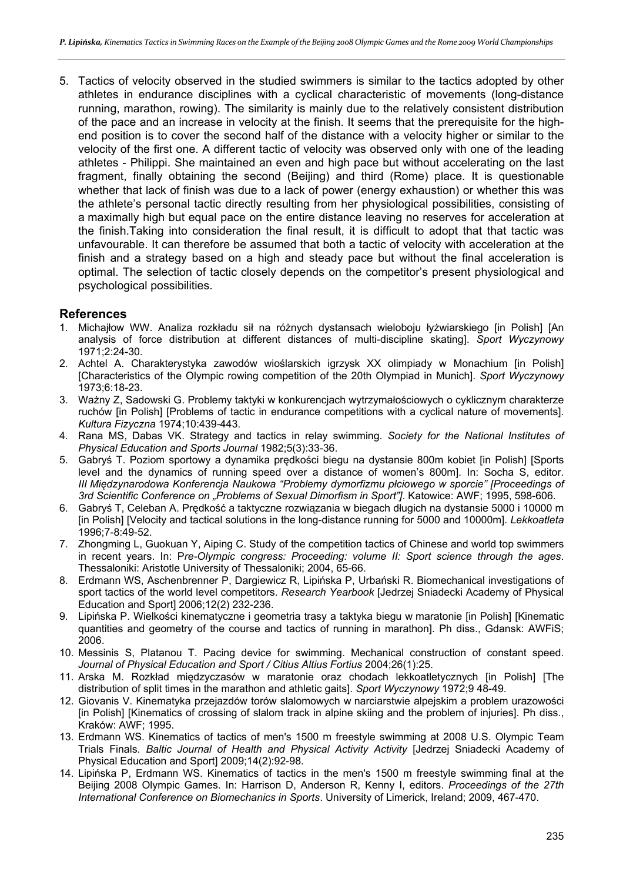5. Tactics of velocity observed in the studied swimmers is similar to the tactics adopted by other athletes in endurance disciplines with a cyclical characteristic of movements (long-distance running, marathon, rowing). The similarity is mainly due to the relatively consistent distribution of the pace and an increase in velocity at the finish. It seems that the prerequisite for the highend position is to cover the second half of the distance with a velocity higher or similar to the velocity of the first one. A different tactic of velocity was observed only with one of the leading athletes - Philippi. She maintained an even and high pace but without accelerating on the last fragment, finally obtaining the second (Beijing) and third (Rome) place. It is questionable whether that lack of finish was due to a lack of power (energy exhaustion) or whether this was the athlete's personal tactic directly resulting from her physiological possibilities, consisting of a maximally high but equal pace on the entire distance leaving no reserves for acceleration at the finish.Taking into consideration the final result, it is difficult to adopt that that tactic was unfavourable. It can therefore be assumed that both a tactic of velocity with acceleration at the finish and a strategy based on a high and steady pace but without the final acceleration is optimal. The selection of tactic closely depends on the competitor's present physiological and psychological possibilities.

#### **References**

- 1. Michajłow WW. Analiza rozkładu sił na różnych dystansach wieloboju łyżwiarskiego [in Polish] [An analysis of force distribution at different distances of multi-discipline skating]. *Sport Wyczynowy* 1971;2:24-30.
- 2. Achtel A. Charakterystyka zawodów wioślarskich igrzysk XX olimpiady w Monachium [in Polish] [Characteristics of the Olympic rowing competition of the 20th Olympiad in Munich]. *Sport Wyczynowy* 1973;6:18-23.
- 3. Ważny Z, Sadowski G. Problemy taktyki w konkurencjach wytrzymałościowych o cyklicznym charakterze ruchów [in Polish] [Problems of tactic in endurance competitions with a cyclical nature of movements]. *Kultura Fizyczna* 1974;10:439-443.
- 4. Rana MS, Dabas VK. Strategy and tactics in relay swimming. *Society for the National Institutes of Physical Education and Sports Journal* 1982;5(3):33-36.
- 5. Gabryś T. Poziom sportowy a dynamika prędkości biegu na dystansie 800m kobiet [in Polish] [Sports level and the dynamics of running speed over a distance of women's 800m]. In: Socha S, editor. *III Międzynarodowa Konferencja Naukowa "Problemy dymorfizmu płciowego w sporcie" [Proceedings of 3rd Scientific Conference on "Problems of Sexual Dimorfism in Sport"]*. Katowice: AWF; 1995, 598-606.
- 6. Gabryś T, Celeban A. Prędkość a taktyczne rozwiązania w biegach długich na dystansie 5000 i 10000 m [in Polish] [Velocity and tactical solutions in the long-distance running for 5000 and 10000m]. *Lekkoatleta* 1996;7-8:49-52.
- 7. Zhongming L, Guokuan Y, Aiping C. Study of the competition tactics of Chinese and world top swimmers in recent years. In: P*re-Olympic congress: Proceeding: volume II: Sport science through the ages*. Thessaloniki: Aristotle University of Thessaloniki; 2004, 65-66.
- 8. Erdmann WS, Aschenbrenner P, Dargiewicz R, Lipińska P, Urbański R. Biomechanical investigations of sport tactics of the world level competitors. *Research Yearbook* [Jedrzej Sniadecki Academy of Physical Education and Sport] 2006;12(2) 232-236.
- 9. Lipińska P. Wielkości kinematyczne i geometria trasy a taktyka biegu w maratonie [in Polish] [Kinematic quantities and geometry of the course and tactics of running in marathon]. Ph diss., Gdansk: AWFiS; 2006.
- 10. Messinis S, Platanou T. Pacing device for swimming. Mechanical construction of constant speed. *Journal of Physical Education and Sport / Citius Altius Fortius* 2004;26(1):25.
- 11. Arska M. Rozkład międzyczasów w maratonie oraz chodach lekkoatletycznych [in Polish] [The distribution of split times in the marathon and athletic gaits]. *Sport Wyczynowy* 1972;9 48-49.
- 12. Giovanis V. Kinematyka przejazdów torów slalomowych w narciarstwie alpejskim a problem urazowości [in Polish] [Kinematics of crossing of slalom track in alpine skiing and the problem of injuries]. Ph diss., Kraków: AWF; 1995.
- 13. Erdmann WS. Kinematics of tactics of men's 1500 m freestyle swimming at 2008 U.S. Olympic Team Trials Finals. *Baltic Journal of Health and Physical Activity Activity* [Jedrzej Sniadecki Academy of Physical Education and Sport] 2009;14(2):92-98.
- 14. Lipińska P, Erdmann WS. Kinematics of tactics in the men's 1500 m freestyle swimming final at the Beijing 2008 Olympic Games. In: Harrison D, Anderson R, Kenny I, editors. *Proceedings of the 27th International Conference on Biomechanics in Sports*. University of Limerick, Ireland; 2009, 467-470.